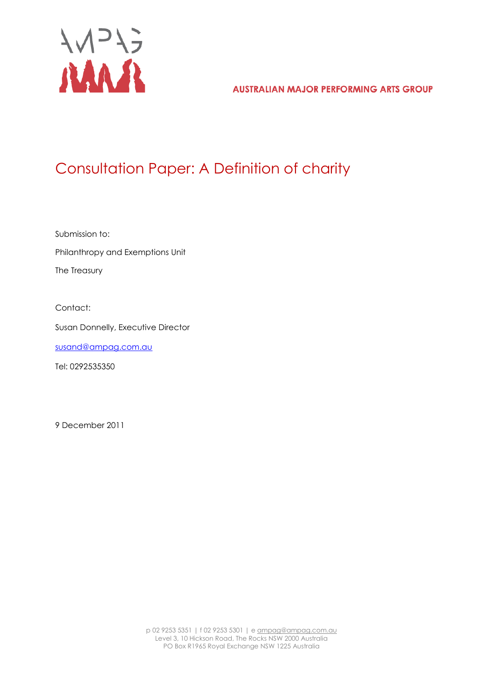

**AUSTRALIAN MAJOR PERFORMING ARTS GROUP** 

# Consultation Paper: A Definition of charity

Submission to: Philanthropy and Exemptions Unit The Treasury

Contact:

Susan Donnelly, Executive Director

[susand@ampag.com.au](mailto:susand@ampag.com.au)

Tel: 0292535350

9 December 2011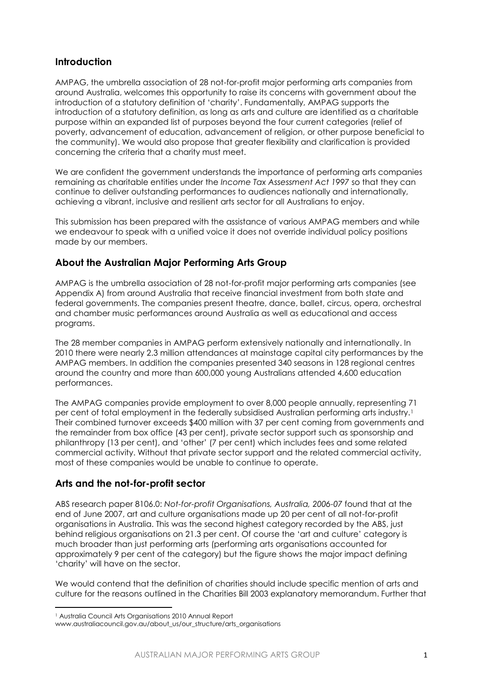## **Introduction**

AMPAG, the umbrella association of 28 not-for-profit major performing arts companies from around Australia, welcomes this opportunity to raise its concerns with government about the introduction of a statutory definition of 'charity'. Fundamentally, AMPAG supports the introduction of a statutory definition, as long as arts and culture are identified as a charitable purpose within an expanded list of purposes beyond the four current categories (relief of poverty, advancement of education, advancement of religion, or other purpose beneficial to the community). We would also propose that greater flexibility and clarification is provided concerning the criteria that a charity must meet.

We are confident the government understands the importance of performing arts companies remaining as charitable entities under the *Income Tax Assessment Act 1997* so that they can continue to deliver outstanding performances to audiences nationally and internationally, achieving a vibrant, inclusive and resilient arts sector for all Australians to enjoy.

This submission has been prepared with the assistance of various AMPAG members and while we endeavour to speak with a unified voice it does not override individual policy positions made by our members.

## **About the Australian Major Performing Arts Group**

AMPAG is the umbrella association of 28 not-for-profit major performing arts companies (see Appendix A) from around Australia that receive financial investment from both state and federal governments. The companies present theatre, dance, ballet, circus, opera, orchestral and chamber music performances around Australia as well as educational and access programs.

The 28 member companies in AMPAG perform extensively nationally and internationally. In 2010 there were nearly 2.3 million attendances at mainstage capital city performances by the AMPAG members. In addition the companies presented 340 seasons in 128 regional centres around the country and more than 600,000 young Australians attended 4,600 education performances.

The AMPAG companies provide employment to over 8,000 people annually, representing 71 per cent of total employment in the federally subsidised Australian performing arts industry.<sup>1</sup> Their combined turnover exceeds \$400 million with 37 per cent coming from governments and the remainder from box office (43 per cent), private sector support such as sponsorship and philanthropy (13 per cent), and 'other' (7 per cent) which includes fees and some related commercial activity. Without that private sector support and the related commercial activity, most of these companies would be unable to continue to operate.

## **Arts and the not-for-profit sector**

ABS research paper 8106.0: *Not-for-profit Organisations, Australia, 2006-07* found that at the end of June 2007, art and culture organisations made up 20 per cent of all not-for-profit organisations in Australia. This was the second highest category recorded by the ABS, just behind religious organisations on 21.3 per cent. Of course the 'art and culture' category is much broader than just performing arts (performing arts organisations accounted for approximately 9 per cent of the category) but the figure shows the major impact defining 'charity' will have on the sector.

We would contend that the definition of charities should include specific mention of arts and culture for the reasons outlined in the Charities Bill 2003 explanatory memorandum. Further that

l

<sup>1</sup> Australia Council Arts Organisations 2010 Annual Report

www.australiacouncil.gov.au/about\_us/our\_structure/arts\_organisations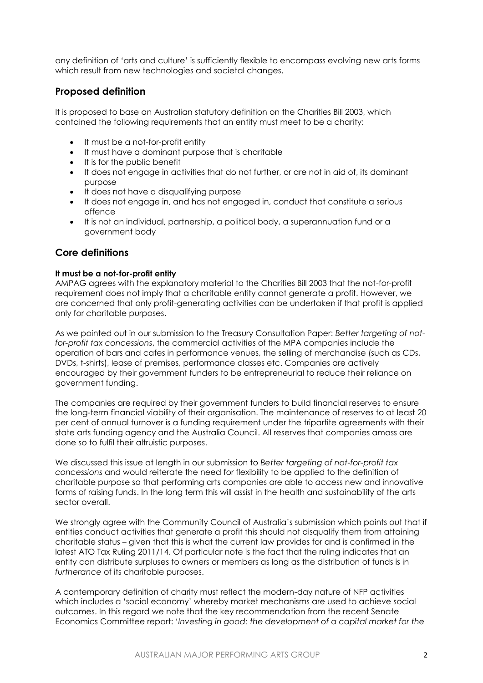any definition of 'arts and culture' is sufficiently flexible to encompass evolving new arts forms which result from new technologies and societal changes.

## **Proposed definition**

It is proposed to base an Australian statutory definition on the Charities Bill 2003, which contained the following requirements that an entity must meet to be a charity:

- It must be a not-for-profit entity
- It must have a dominant purpose that is charitable
- It is for the public benefit
- It does not engage in activities that do not further, or are not in aid of, its dominant purpose
- It does not have a disqualifying purpose
- It does not engage in, and has not engaged in, conduct that constitute a serious offence
- It is not an individual, partnership, a political body, a superannuation fund or a government body

## **Core definitions**

#### **It must be a not-for-profit entity**

AMPAG agrees with the explanatory material to the Charities Bill 2003 that the not-for-profit requirement does not imply that a charitable entity cannot generate a profit. However, we are concerned that only profit-generating activities can be undertaken if that profit is applied only for charitable purposes.

As we pointed out in our submission to the Treasury Consultation Paper: *Better targeting of notfor-profit tax concessions*, the commercial activities of the MPA companies include the operation of bars and cafes in performance venues, the selling of merchandise (such as CDs, DVDs, t-shirts), lease of premises, performance classes etc. Companies are actively encouraged by their government funders to be entrepreneurial to reduce their reliance on government funding.

The companies are required by their government funders to build financial reserves to ensure the long-term financial viability of their organisation. The maintenance of reserves to at least 20 per cent of annual turnover is a funding requirement under the tripartite agreements with their state arts funding agency and the Australia Council. All reserves that companies amass are done so to fulfil their altruistic purposes.

We discussed this issue at length in our submission to *Better targeting of not-for-profit tax concessions* and would reiterate the need for flexibility to be applied to the definition of charitable purpose so that performing arts companies are able to access new and innovative forms of raising funds. In the long term this will assist in the health and sustainability of the arts sector overall.

We strongly garee with the Community Council of Australia's submission which points out that if entities conduct activities that generate a profit this should not disqualify them from attaining charitable status – given that this is what the current law provides for and is confirmed in the latest ATO Tax Ruling 2011/14. Of particular note is the fact that the ruling indicates that an entity can distribute surpluses to owners or members as long as the distribution of funds is in *furtherance* of its charitable purposes.

A contemporary definition of charity must reflect the modern-day nature of NFP activities which includes a 'social economy' whereby market mechanisms are used to achieve social outcomes. In this regard we note that the key recommendation from the recent Senate Economics Committee report: '*Investing in good: the development of a capital market for the*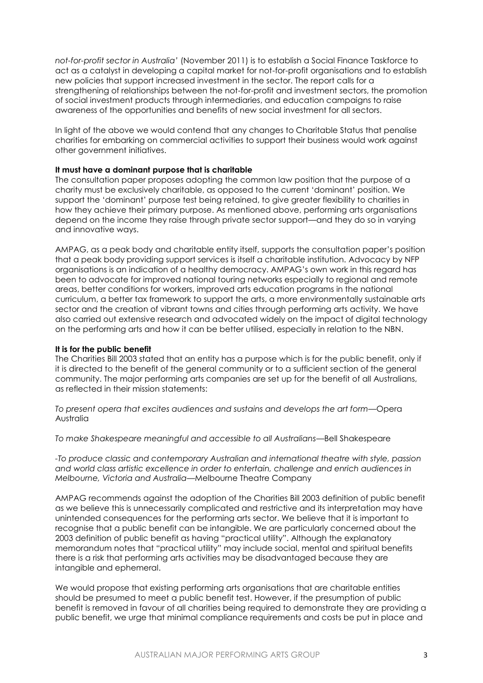*not-for-profit sector in Australia'* (November 2011) is to establish a Social Finance Taskforce to act as a catalyst in developing a capital market for not-for-profit organisations and to establish new policies that support increased investment in the sector. The report calls for a strengthening of relationships between the not-for-profit and investment sectors, the promotion of social investment products through intermediaries, and education campaigns to raise awareness of the opportunities and benefits of new social investment for all sectors.

In light of the above we would contend that any changes to Charitable Status that penalise charities for embarking on commercial activities to support their business would work against other government initiatives.

#### **It must have a dominant purpose that is charitable**

The consultation paper proposes adopting the common law position that the purpose of a charity must be exclusively charitable, as opposed to the current 'dominant' position. We support the 'dominant' purpose test being retained, to give greater flexibility to charities in how they achieve their primary purpose. As mentioned above, performing arts organisations depend on the income they raise through private sector support—and they do so in varying and innovative ways.

AMPAG, as a peak body and charitable entity itself, supports the consultation paper's position that a peak body providing support services is itself a charitable institution. Advocacy by NFP organisations is an indication of a healthy democracy. AMPAG's own work in this regard has been to advocate for improved national touring networks especially to regional and remote areas, better conditions for workers, improved arts education programs in the national curriculum, a better tax framework to support the arts, a more environmentally sustainable arts sector and the creation of vibrant towns and cities through performing arts activity. We have also carried out extensive research and advocated widely on the impact of digital technology on the performing arts and how it can be better utilised, especially in relation to the NBN.

#### **It is for the public benefit**

The Charities Bill 2003 stated that an entity has a purpose which is for the public benefit, only if it is directed to the benefit of the general community or to a sufficient section of the general community. The major performing arts companies are set up for the benefit of all Australians, as reflected in their mission statements:

*To present opera that excites audiences and sustains and develops the art form*—Opera Australia

*To make Shakespeare meaningful and accessible to all Australians*—Bell Shakespeare

*-To produce classic and contemporary Australian and international theatre with style, passion and world class artistic excellence in order to entertain, challenge and enrich audiences in Melbourne, Victoria and Australia*—Melbourne Theatre Company

AMPAG recommends against the adoption of the Charities Bill 2003 definition of public benefit as we believe this is unnecessarily complicated and restrictive and its interpretation may have unintended consequences for the performing arts sector. We believe that it is important to recognise that a public benefit can be intangible. We are particularly concerned about the 2003 definition of public benefit as having "practical utility". Although the explanatory memorandum notes that "practical utility" may include social, mental and spiritual benefits there is a risk that performing arts activities may be disadvantaged because they are intangible and ephemeral.

We would propose that existing performing arts organisations that are charitable entities should be presumed to meet a public benefit test. However, if the presumption of public benefit is removed in favour of all charities being required to demonstrate they are providing a public benefit, we urge that minimal compliance requirements and costs be put in place and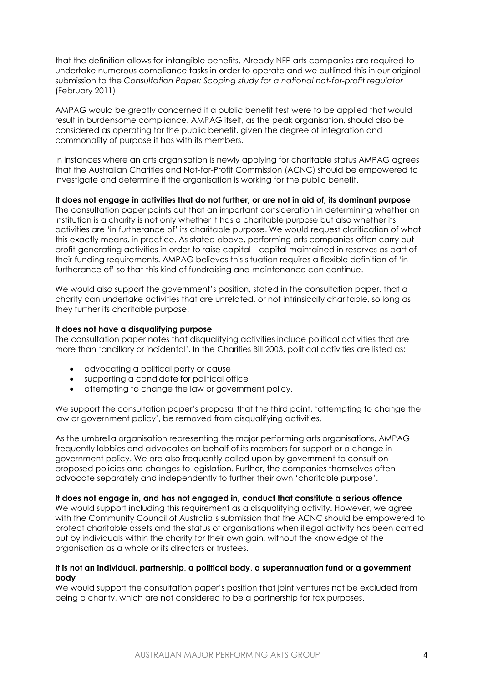that the definition allows for intangible benefits. Already NFP arts companies are required to undertake numerous compliance tasks in order to operate and we outlined this in our original submission to the *Consultation Paper: Scoping study for a national not-for-profit regulator* (February 2011)

AMPAG would be greatly concerned if a public benefit test were to be applied that would result in burdensome compliance. AMPAG itself, as the peak organisation, should also be considered as operating for the public benefit, given the degree of integration and commonality of purpose it has with its members.

In instances where an arts organisation is newly applying for charitable status AMPAG agrees that the Australian Charities and Not-for-Profit Commission (ACNC) should be empowered to investigate and determine if the organisation is working for the public benefit.

**It does not engage in activities that do not further, or are not in aid of, its dominant purpose**

The consultation paper points out that an important consideration in determining whether an institution is a charity is not only whether it has a charitable purpose but also whether its activities are 'in furtherance of' its charitable purpose. We would request clarification of what this exactly means, in practice. As stated above, performing arts companies often carry out profit-generating activities in order to raise capital—capital maintained in reserves as part of their funding requirements. AMPAG believes this situation requires a flexible definition of 'in furtherance of' so that this kind of fundraising and maintenance can continue.

We would also support the government's position, stated in the consultation paper, that a charity can undertake activities that are unrelated, or not intrinsically charitable, so long as they further its charitable purpose.

#### **It does not have a disqualifying purpose**

The consultation paper notes that disqualifying activities include political activities that are more than 'ancillary or incidental'. In the Charities Bill 2003, political activities are listed as:

- advocating a political party or cause
- supporting a candidate for political office
- attempting to change the law or government policy.

We support the consultation paper's proposal that the third point, 'attempting to change the law or government policy', be removed from disqualifying activities.

As the umbrella organisation representing the major performing arts organisations, AMPAG frequently lobbies and advocates on behalf of its members for support or a change in government policy. We are also frequently called upon by government to consult on proposed policies and changes to legislation. Further, the companies themselves often advocate separately and independently to further their own 'charitable purpose'.

#### **It does not engage in, and has not engaged in, conduct that constitute a serious offence**

We would support including this requirement as a disqualifying activity. However, we agree with the Community Council of Australia's submission that the ACNC should be empowered to protect charitable assets and the status of organisations when illegal activity has been carried out by individuals within the charity for their own gain, without the knowledge of the organisation as a whole or its directors or trustees.

#### **It is not an individual, partnership, a political body, a superannuation fund or a government body**

We would support the consultation paper's position that joint ventures not be excluded from being a charity, which are not considered to be a partnership for tax purposes.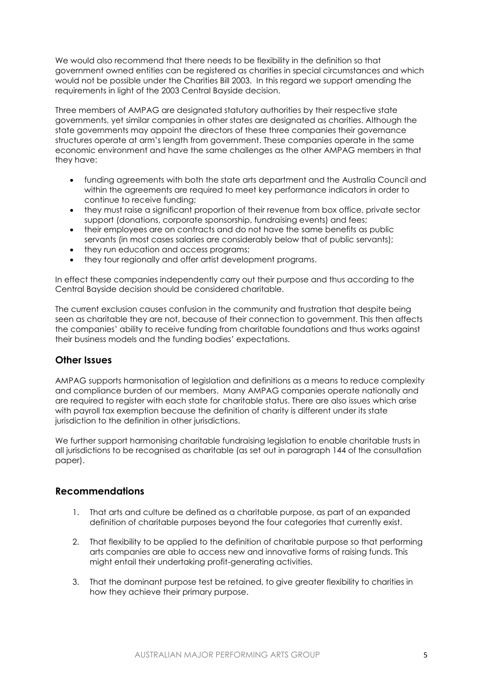We would also recommend that there needs to be flexibility in the definition so that government owned entities can be registered as charities in special circumstances and which would not be possible under the Charities Bill 2003. In this regard we support amending the requirements in light of the 2003 Central Bayside decision.

Three members of AMPAG are designated statutory authorities by their respective state governments, yet similar companies in other states are designated as charities. Although the state governments may appoint the directors of these three companies their governance structures operate at arm's length from government. These companies operate in the same economic environment and have the same challenges as the other AMPAG members in that they have:

- funding agreements with both the state arts department and the Australia Council and within the agreements are required to meet key performance indicators in order to continue to receive funding;
- they must raise a significant proportion of their revenue from box office, private sector support (donations, corporate sponsorship, fundraising events) and fees;
- their employees are on contracts and do not have the same benefits as public servants (in most cases salaries are considerably below that of public servants);
- they run education and access programs;
- they tour regionally and offer artist development programs.

In effect these companies independently carry out their purpose and thus according to the Central Bayside decision should be considered charitable.

The current exclusion causes confusion in the community and frustration that despite being seen as charitable they are not, because of their connection to government. This then affects the companies' ability to receive funding from charitable foundations and thus works against their business models and the funding bodies' expectations.

## **Other Issues**

AMPAG supports harmonisation of legislation and definitions as a means to reduce complexity and compliance burden of our members. Many AMPAG companies operate nationally and are required to register with each state for charitable status. There are also issues which arise with payroll tax exemption because the definition of charity is different under its state jurisdiction to the definition in other jurisdictions.

We further support harmonising charitable fundraising legislation to enable charitable trusts in all jurisdictions to be recognised as charitable (as set out in paragraph 144 of the consultation paper).

### **Recommendations**

- 1. That arts and culture be defined as a charitable purpose, as part of an expanded definition of charitable purposes beyond the four categories that currently exist.
- 2. That flexibility to be applied to the definition of charitable purpose so that performing arts companies are able to access new and innovative forms of raising funds. This might entail their undertaking profit-generating activities.
- 3. That the dominant purpose test be retained, to give greater flexibility to charities in how they achieve their primary purpose.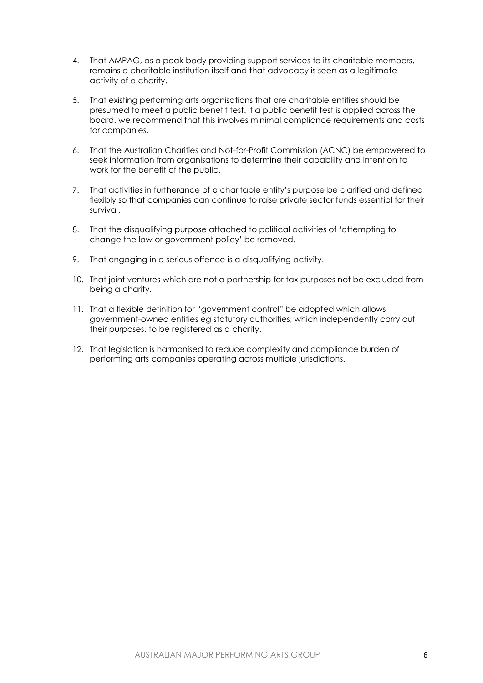- 4. That AMPAG, as a peak body providing support services to its charitable members, remains a charitable institution itself and that advocacy is seen as a legitimate activity of a charity.
- 5. That existing performing arts organisations that are charitable entities should be presumed to meet a public benefit test. If a public benefit test is applied across the board, we recommend that this involves minimal compliance requirements and costs for companies.
- 6. That the Australian Charities and Not-for-Profit Commission (ACNC) be empowered to seek information from organisations to determine their capability and intention to work for the benefit of the public.
- 7. That activities in furtherance of a charitable entity's purpose be clarified and defined flexibly so that companies can continue to raise private sector funds essential for their survival.
- 8. That the disqualifying purpose attached to political activities of 'attempting to change the law or government policy' be removed.
- 9. That engaging in a serious offence is a disqualifying activity.
- 10. That joint ventures which are not a partnership for tax purposes not be excluded from being a charity.
- 11. That a flexible definition for "government control" be adopted which allows government-owned entities eg statutory authorities, which independently carry out their purposes, to be registered as a charity.
- 12. That legislation is harmonised to reduce complexity and compliance burden of performing arts companies operating across multiple jurisdictions.